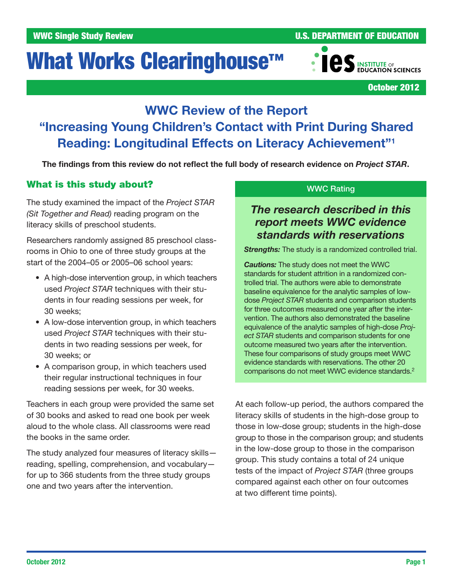# What Works Clearinghouse<sup>™</sup>



October 2012

# WWC Review of the Report "Increasing Young Children's Contact with Print During Shared Reading: Longitudinal Effects on Literacy Achievement"1

The findings from this review do not reflect the full body of research evidence on *Project STAR*.

# What is this study about?

The study examined the impact of the *Project STAR (Sit Together and Read)* reading program on the literacy skills of preschool students.

Researchers randomly assigned 85 preschool classrooms in Ohio to one of three study groups at the start of the 2004–05 or 2005–06 school years:

- A high-dose intervention group, in which teachers used *Project STAR* techniques with their students in four reading sessions per week, for 30 weeks;
- A low-dose intervention group, in which teachers used *Project STAR* techniques with their students in two reading sessions per week, for 30 weeks; or
- A comparison group, in which teachers used their regular instructional techniques in four reading sessions per week, for 30 weeks.

Teachers in each group were provided the same set of 30 books and asked to read one book per week aloud to the whole class. All classrooms were read the books in the same order.

The study analyzed four measures of literacy skills reading, spelling, comprehension, and vocabulary for up to 366 students from the three study groups one and two years after the intervention.

#### WWC Rating

# *The research described in this report meets WWC evidence standards with reservations*

**Strengths:** The study is a randomized controlled trial.

*Cautions:* The study does not meet the WWC standards for student attrition in a randomized controlled trial. The authors were able to demonstrate baseline equivalence for the analytic samples of lowdose *Project STAR* students and comparison students for three outcomes measured one year after the intervention. The authors also demonstrated the baseline equivalence of the analytic samples of high-dose *Project STAR* students and comparison students for one outcome measured two years after the intervention. These four comparisons of study groups meet WWC evidence standards with reservations. The other 20 comparisons do not meet WWC evidence standards.<sup>2</sup>

At each follow-up period, the authors compared the literacy skills of students in the high-dose group to those in low-dose group; students in the high-dose group to those in the comparison group; and students in the low-dose group to those in the comparison group. This study contains a total of 24 unique tests of the impact of *Project STAR* (three groups compared against each other on four outcomes at two different time points).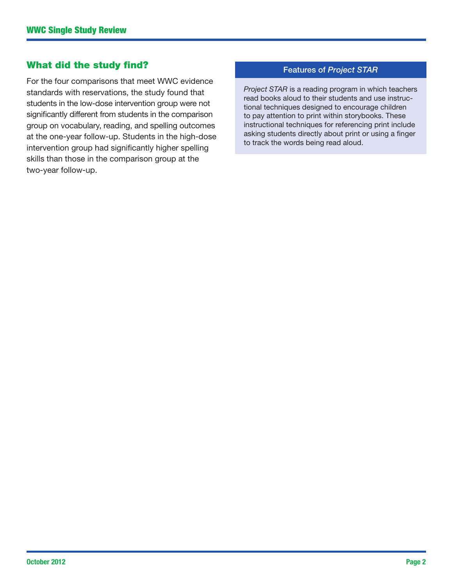### What did the study find?

For the four comparisons that meet WWC evidence standards with reservations, the study found that students in the low-dose intervention group were not significantly different from students in the comparison group on vocabulary, reading, and spelling outcomes at the one-year follow-up. Students in the high-dose intervention group had significantly higher spelling skills than those in the comparison group at the two-year follow-up.

#### Features of *Project STAR*

*Project STAR* is a reading program in which teachers read books aloud to their students and use instructional techniques designed to encourage children to pay attention to print within storybooks. These instructional techniques for referencing print include asking students directly about print or using a finger to track the words being read aloud.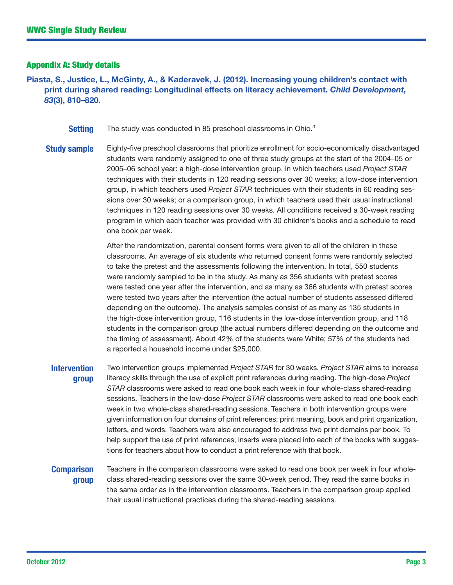#### Appendix A: Study details

Piasta, S., Justice, L., McGinty, A., & Kaderavek, J. (2012). Increasing young children's contact with print during shared reading: Longitudinal effects on literacy achievement. *Child Development, 83*(3), 810–820.

- **Setting** The study was conducted in 85 preschool classrooms in Ohio.<sup>3</sup>
- **Study sample** Eighty-five preschool classrooms that prioritize enrollment for socio-economically disadvantaged students were randomly assigned to one of three study groups at the start of the 2004–05 or 2005–06 school year: a high-dose intervention group, in which teachers used *Project STAR* techniques with their students in 120 reading sessions over 30 weeks; a low-dose intervention group, in which teachers used *Project STAR* techniques with their students in 60 reading sessions over 30 weeks; or a comparison group, in which teachers used their usual instructional techniques in 120 reading sessions over 30 weeks. All conditions received a 30-week reading program in which each teacher was provided with 30 children's books and a schedule to read one book per week.

After the randomization, parental consent forms were given to all of the children in these classrooms. An average of six students who returned consent forms were randomly selected to take the pretest and the assessments following the intervention. In total, 550 students were randomly sampled to be in the study. As many as 356 students with pretest scores were tested one year after the intervention, and as many as 366 students with pretest scores were tested two years after the intervention (the actual number of students assessed differed depending on the outcome). The analysis samples consist of as many as 135 students in the high-dose intervention group, 116 students in the low-dose intervention group, and 118 students in the comparison group (the actual numbers differed depending on the outcome and the timing of assessment). About 42% of the students were White; 57% of the students had a reported a household income under \$25,000.

**Intervention** group Two intervention groups implemented *Project STAR* for 30 weeks. *Project STAR* aims to increase literacy skills through the use of explicit print references during reading. The high-dose *Project STAR* classrooms were asked to read one book each week in four whole-class shared-reading sessions. Teachers in the low-dose *Project STAR* classrooms were asked to read one book each week in two whole-class shared-reading sessions. Teachers in both intervention groups were given information on four domains of print references: print meaning, book and print organization, letters, and words. Teachers were also encouraged to address two print domains per book. To help support the use of print references, inserts were placed into each of the books with suggestions for teachers about how to conduct a print reference with that book.

#### **Comparison** group

Teachers in the comparison classrooms were asked to read one book per week in four wholeclass shared-reading sessions over the same 30-week period. They read the same books in the same order as in the intervention classrooms. Teachers in the comparison group applied their usual instructional practices during the shared-reading sessions.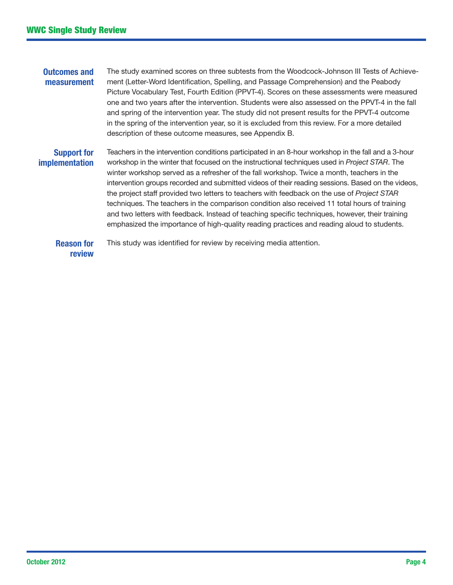#### Outcomes and measurement The study examined scores on three subtests from the Woodcock-Johnson III Tests of Achievement (Letter-Word Identification, Spelling, and Passage Comprehension) and the Peabody Picture Vocabulary Test, Fourth Edition (PPVT-4). Scores on these assessments were measured one and two years after the intervention. Students were also assessed on the PPVT-4 in the fall and spring of the intervention year. The study did not present results for the PPVT-4 outcome in the spring of the intervention year, so it is excluded from this review. For a more detailed description of these outcome measures, see Appendix B.

#### Support for implementation

Teachers in the intervention conditions participated in an 8-hour workshop in the fall and a 3-hour workshop in the winter that focused on the instructional techniques used in *Project STAR*. The winter workshop served as a refresher of the fall workshop. Twice a month, teachers in the intervention groups recorded and submitted videos of their reading sessions. Based on the videos, the project staff provided two letters to teachers with feedback on the use of *Project STAR* techniques. The teachers in the comparison condition also received 11 total hours of training and two letters with feedback. Instead of teaching specific techniques, however, their training emphasized the importance of high-quality reading practices and reading aloud to students.

Reason for review This study was identified for review by receiving media attention.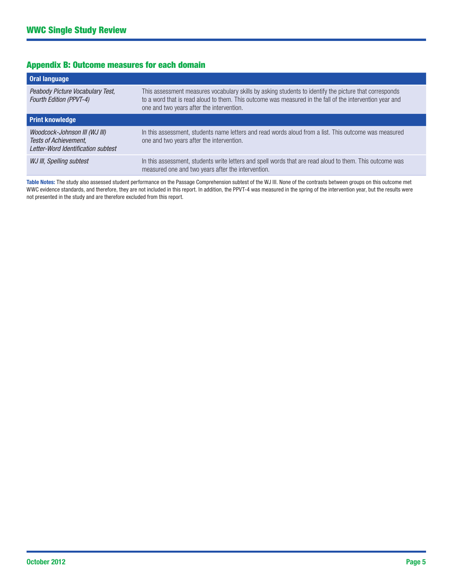#### Appendix B: Outcome measures for each domain

| <b>Oral language</b>                                                                         |                                                                                                                                                                                                                                                                 |
|----------------------------------------------------------------------------------------------|-----------------------------------------------------------------------------------------------------------------------------------------------------------------------------------------------------------------------------------------------------------------|
| Peabody Picture Vocabulary Test,<br><b>Fourth Edition (PPVT-4)</b>                           | This assessment measures vocabulary skills by asking students to identify the picture that corresponds<br>to a word that is read aloud to them. This outcome was measured in the fall of the intervention year and<br>one and two years after the intervention. |
| <b>Print knowledge</b>                                                                       |                                                                                                                                                                                                                                                                 |
| Woodcock-Johnson III (WJ III)<br>Tests of Achievement,<br>Letter-Word Identification subtest | In this assessment, students name letters and read words aloud from a list. This outcome was measured<br>one and two years after the intervention.                                                                                                              |
| WJ III, Spelling subtest                                                                     | In this assessment, students write letters and spell words that are read aloud to them. This outcome was<br>measured one and two years after the intervention.                                                                                                  |

Table Notes: The study also assessed student performance on the Passage Comprehension subtest of the WJ III. None of the contrasts between groups on this outcome met WWC evidence standards, and therefore, they are not included in this report. In addition, the PPVT-4 was measured in the spring of the intervention year, but the results were not presented in the study and are therefore excluded from this report.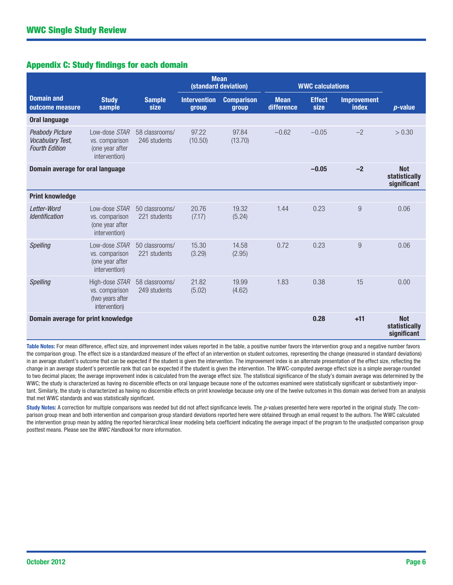#### Appendix C: Study findings for each domain

|                                                                            |                                                                       |                                | <b>Mean</b><br>(standard deviation) |                            | <b>WWC calculations</b>   |                       |                                    |                                            |
|----------------------------------------------------------------------------|-----------------------------------------------------------------------|--------------------------------|-------------------------------------|----------------------------|---------------------------|-----------------------|------------------------------------|--------------------------------------------|
| <b>Domain and</b><br>outcome measure                                       | <b>Study</b><br>sample                                                | <b>Sample</b><br>size          | <b>Intervention</b><br>group        | <b>Comparison</b><br>group | <b>Mean</b><br>difference | <b>Effect</b><br>size | <b>Improvement</b><br><b>index</b> | $p$ -value                                 |
| <b>Oral language</b>                                                       |                                                                       |                                |                                     |                            |                           |                       |                                    |                                            |
| <b>Peabody Picture</b><br><b>Vocabulary Test,</b><br><b>Fourth Edition</b> | Low-dose STAR<br>vs. comparison<br>(one year after<br>intervention)   | 58 classrooms/<br>246 students | 97.22<br>(10.50)                    | 97.84<br>(13.70)           | $-0.62$                   | $-0.05$               | $-2$                               | > 0.30                                     |
| Domain average for oral language                                           |                                                                       |                                |                                     |                            |                           | $-0.05$               | $-2$                               | <b>Not</b><br>statistically<br>significant |
| <b>Print knowledge</b>                                                     |                                                                       |                                |                                     |                            |                           |                       |                                    |                                            |
| Letter-Word<br><b>Identification</b>                                       | Low-dose STAR<br>vs. comparison<br>(one year after<br>intervention)   | 50 classrooms/<br>221 students | 20.76<br>(7.17)                     | 19.32<br>(5.24)            | 1.44                      | 0.23                  | 9                                  | 0.06                                       |
| Spelling                                                                   | Low-dose STAR<br>vs. comparison<br>(one year after<br>intervention)   | 50 classrooms/<br>221 students | 15.30<br>(3.29)                     | 14.58<br>(2.95)            | 0.72                      | 0.23                  | 9                                  | 0.06                                       |
| Spelling                                                                   | High-dose STAR<br>vs. comparison<br>(two years after<br>intervention) | 58 classrooms/<br>249 students | 21.82<br>(5.02)                     | 19.99<br>(4.62)            | 1.83                      | 0.38                  | 15                                 | 0.00                                       |
| Domain average for print knowledge                                         |                                                                       |                                |                                     |                            |                           | 0.28                  | $+11$                              | <b>Not</b><br>statistically<br>significant |

Table Notes: For mean difference, effect size, and improvement index values reported in the table, a positive number favors the intervention group and a negative number favors the comparison group. The effect size is a standardized measure of the effect of an intervention on student outcomes, representing the change (measured in standard deviations) in an average student's outcome that can be expected if the student is given the intervention. The improvement index is an alternate presentation of the effect size, reflecting the change in an average student's percentile rank that can be expected if the student is given the intervention. The WWC-computed average effect size is a simple average rounded to two decimal places; the average improvement index is calculated from the average effect size. The statistical significance of the study's domain average was determined by the WWC; the study is characterized as having no discernible effects on oral language because none of the outcomes examined were statistically significant or substantively important. Similarly, the study is characterized as having no discernible effects on print knowledge because only one of the twelve outcomes in this domain was derived from an analysis that met WWC standards and was statistically significant.

Study Notes: A correction for multiple comparisons was needed but did not affect significance levels. The *p*-values presented here were reported in the original study. The comparison group mean and both intervention and comparison group standard deviations reported here were obtained through an email request to the authors. The WWC calculated the intervention group mean by adding the reported hierarchical linear modeling beta coefficient indicating the average impact of the program to the unadjusted comparison group posttest means. Please see the *WWC Handbook* for more information.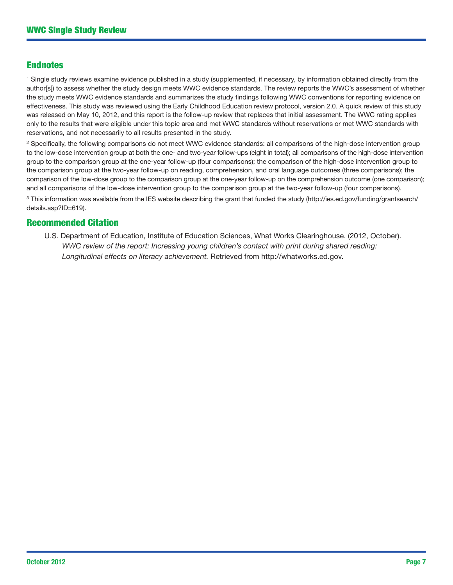#### Endnotes

<sup>1</sup> Single study reviews examine evidence published in a study (supplemented, if necessary, by information obtained directly from the author[s]) to assess whether the study design meets WWC evidence standards. The review reports the WWC's assessment of whether the study meets WWC evidence standards and summarizes the study findings following WWC conventions for reporting evidence on effectiveness. This study was reviewed using the Early Childhood Education review protocol, version 2.0. A quick review of this study was released on May 10, 2012, and this report is the follow-up review that replaces that initial assessment. The WWC rating applies only to the results that were eligible under this topic area and met WWC standards without reservations or met WWC standards with reservations, and not necessarily to all results presented in the study.

<sup>2</sup> Specifically, the following comparisons do not meet WWC evidence standards: all comparisons of the high-dose intervention group to the low-dose intervention group at both the one- and two-year follow-ups (eight in total); all comparisons of the high-dose intervention group to the comparison group at the one-year follow-up (four comparisons); the comparison of the high-dose intervention group to the comparison group at the two-year follow-up on reading, comprehension, and oral language outcomes (three comparisons); the comparison of the low-dose group to the comparison group at the one-year follow-up on the comprehension outcome (one comparison); and all comparisons of the low-dose intervention group to the comparison group at the two-year follow-up (four comparisons).

<sup>3</sup> This information was available from the IES website describing the grant that funded the study [\(http://ies.ed.gov/funding/grantsearch/](http://ies.ed.gov/funding/grantsearch/details.asp?ID=619) [details.asp?ID=619\)](http://ies.ed.gov/funding/grantsearch/details.asp?ID=619).

#### Recommended Citation

U.S. Department of Education, Institute of Education Sciences, What Works Clearinghouse. (2012, October). *WWC review of the report: Increasing young children's contact with print during shared reading: Longitudinal effects on literacy achievement.* Retrieved from [http://whatworks.ed.gov.](http://whatworks.ed.gov)